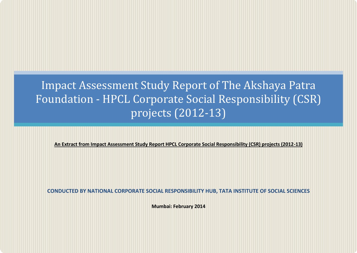# Impact Assessment Study Report of The Akshaya Patra Foundation - HPCL Corporate Social Responsibility (CSR) projects (2012-13)

**An Extract from Impact Assessment Study Report HPCL Corporate Social Responsibility (CSR) projects (2012-13)**

**CONDUCTED BY NATIONAL CORPORATE SOCIAL RESPONSIBILITY HUB, TATA INSTITUTE OF SOCIAL SCIENCES**

**Mumbai: February 2014**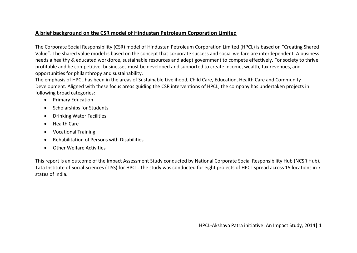### **A brief background on the CSR model of Hindustan Petroleum Corporation Limited**

The Corporate Social Responsibility (CSR) model of Hindustan Petroleum Corporation Limited (HPCL) is based on "Creating Shared Value". The shared value model is based on the concept that corporate success and social welfare are interdependent. A business needs a healthy & educated workforce, sustainable resources and adept government to compete effectively. For society to thrive profitable and be competitive, businesses must be developed and supported to create income, wealth, tax revenues, and opportunities for philanthropy and sustainability.

The emphasis of HPCL has been in the areas of Sustainable Livelihood, Child Care, Education, Health Care and Community Development. Aligned with these focus areas guiding the CSR interventions of HPCL, the company has undertaken projects in following broad categories:

- Primary Education
- Scholarships for Students
- Drinking Water Facilities
- Health Care
- Vocational Training
- Rehabilitation of Persons with Disabilities
- Other Welfare Activities

This report is an outcome of the Impact Assessment Study conducted by National Corporate Social Responsibility Hub (NCSR Hub), Tata Institute of Social Sciences (TISS) for HPCL. The study was conducted for eight projects of HPCL spread across 15 locations in 7 states of India.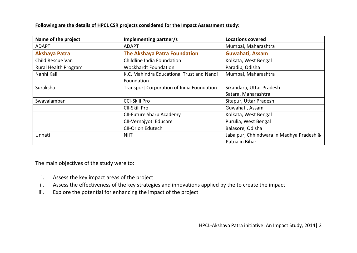#### **Following are the details of HPCL CSR projects considered for the Impact Assessment study:**

| Name of the project  | Implementing partner/s                         | <b>Locations covered</b>                 |  |
|----------------------|------------------------------------------------|------------------------------------------|--|
| <b>ADAPT</b>         | <b>ADAPT</b>                                   | Mumbai, Maharashtra                      |  |
| <b>Akshaya Patra</b> | <b>The Akshaya Patra Foundation</b>            | Guwahati, Assam                          |  |
| Child Rescue Van     | Childline India Foundation                     | Kolkata, West Bengal                     |  |
| Rural Health Program | <b>Wockhardt Foundation</b>                    | Paradip, Odisha                          |  |
| Nanhi Kali           | K.C. Mahindra Educational Trust and Nandi      | Mumbai, Maharashtra                      |  |
|                      | Foundation                                     |                                          |  |
| Suraksha             | Transport Corporation of India Foundation      | Sikandara, Uttar Pradesh                 |  |
|                      |                                                | Satara, Maharashtra                      |  |
| Swavalamban          | <b>CCI-Skill Pro</b><br>Sitapur, Uttar Pradesh |                                          |  |
|                      | CII-Skill Pro                                  | Guwahati, Assam                          |  |
|                      | CII-Future Sharp Academy                       | Kolkata, West Bengal                     |  |
|                      | CII-Vernajyoti Educare                         | Purulia, West Bengal                     |  |
|                      | CII-Orion Edutech                              | Balasore, Odisha                         |  |
| Unnati               | <b>NIIT</b>                                    | Jabalpur, Chhindwara in Madhya Pradesh & |  |
|                      |                                                | Patna in Bihar                           |  |

#### The main objectives of the study were to:

- i. Assess the key impact areas of the project
- ii. Assess the effectiveness of the key strategies and innovations applied by the to create the impact
- iii. Explore the potential for enhancing the impact of the project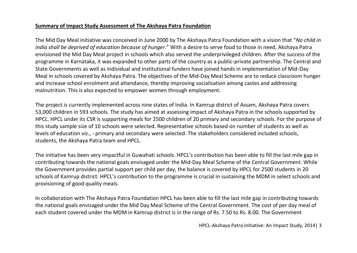### **Summary of Impact Study Assessment of The Akshaya Patra Foundation**

The Mid Day Meal initiative was conceived in June 2000 by The Akshaya Patra Foundation with a vision that "*No child in India shall be deprived of education because of hunger*." With a desire to serve food to those in need, Akshaya Patra envisioned the Mid Day Meal project in schools which also served the underprivileged children. After the success of the programme in Karnataka, it was expanded to other parts of the country as a public-private partnership. The Central and State Governments as well as individual and institutional funders have joined hands in implementation of Mid-Day Meal in schools covered by Akshaya Patra. The objectives of the Mid-Day Meal Scheme are to reduce classroom hunger and increase school enrolment and attendance, thereby improving socialisation among castes and addressing malnutrition. This is also expected to empower women through employment.

The project is currently implemented across nine states of India. In Kamrup district of Assam, Akshaya Patra covers 53,000 children in 593 schools. The study has aimed at assessing impact of Akshaya Patra in the schools supported by HPCL. HPCL under its CSR is supporting meals for 2500 children of 20 primary and secondary schools. For the purpose of this study sample size of 10 schools were selected. Representative schools based on number of students as well as levels of education viz., - primary and secondary were selected. The stakeholders considered included schools, students, the Akshaya Patra team and HPCL.

The initiative has been very impactful in Guwahati schools. HPCL's contribution has been able to fill the last mile gap in contributing towards the national goals envisaged under the Mid-Day Meal Scheme of the Central Government. While the Government provides partial support per child per day, the balance is covered by HPCL for 2500 students in 20 schools of Kamrup district. HPCL's contribution to the programme is crucial in sustaining the MDM in select schools and provisioning of good quality meals.

In collaboration with The Akshaya Patra Foundation HPCL has been able to fill the last mile gap in contributing towards the national goals envisaged under the Mid Day Meal Scheme of the Central Government. The cost of per day meal of each student covered under the MDM in Kamrup district is in the range of Rs. 7.50 to Rs. 8.00. The Government

HPCL-Akshaya Patra initiative: An Impact Study, 2014| 3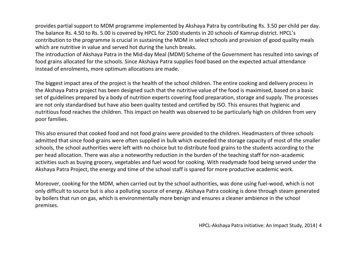provides partial support to MDM programme implemented by Akshaya Patra by contributing Rs. 3.50 per child per day. The balance Rs. 4.50 to Rs. 5.00 is covered by HPCL for 2500 students in 20 schools of Kamrup district. HPCL's contribution to the programme is crucial in sustaining the MDM in select schools and provision of good quality meals which are nutritive in value and served hot during the lunch breaks.

The introduction of Akshaya Patra in the Mid-day Meal (MDM) Scheme of the Government has resulted into savings of food grains allocated for the schools. Since Akshaya Patra supplies food based on the expected actual attendance instead of enrolments, more optimum allocations are made.

The biggest impact area of the project is the health of the school children. The entire cooking and delivery process in the Akshaya Patra project has been designed such that the nutritive value of the food is maximised, based on a basic set of guidelines prepared by a body of nutrition experts covering food preparation, storage and supply. The processes are not only standardised but have also been quality tested and certified by ISO. This ensures that hygienic and nutritious food reaches the children. This impact on health was observed to be particularly high on children from very poor families.

This also ensured that cooked food and not food grains were provided to the children. Headmasters of three schools admitted that since food-grains were often supplied in bulk which exceeded the storage capacity of most of the smaller schools, the school authorities were left with no choice but to distribute food grains to the students according to the per head allocation. There was also a noteworthy reduction in the burden of the teaching staff for non-academic activities such as buying grocery, vegetables and fuel wood for cooking. With readymade food being served under the Akshaya Patra Project, the energy and time of the school staff is spared for more productive academic work.

Moreover, cooking for the MDM, when carried out by the school authorities, was done using fuel-wood, which is not only difficult to source but is also a polluting source of energy. Akshaya Patra cooking is done through steam generated by boilers that run on gas, which is environmentally more benign and ensures a cleaner ambience in the school premises.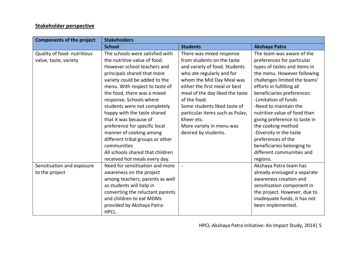## **Stakeholder perspective**

| <b>Components of the project</b> | <b>Stakeholders</b>              |                                 |                               |  |
|----------------------------------|----------------------------------|---------------------------------|-------------------------------|--|
|                                  | <b>School</b>                    | <b>Students</b>                 | <b>Akshaya Patra</b>          |  |
| Quality of food- nutritious      | The schools were satisfied with  | There was mixed response        | The team was aware of the     |  |
| value, taste, variety            | the nutritive value of food.     | from students on the taste      | preferences for particular    |  |
|                                  | However school teachers and      | and variety of food. Students   | types of tastes and items in  |  |
|                                  | principals shared that more      | who ate regularly and for       | the menu. However following   |  |
|                                  | variety could be added to the    | whom the Mid Day Meal was       | challenges limited the teams' |  |
|                                  | menu. With respect to taste of   | either the first meal or best   | efforts in fulfilling all     |  |
|                                  | the food, there was a mixed      | meal of the day liked the taste | beneficiaries preferences:    |  |
|                                  | response. Schools where          | of the food.                    | -Limitation of funds          |  |
|                                  | students were not completely     | Some students liked taste of    | -Need to maintain the         |  |
|                                  | happy with the taste shared      | particular items such as Pulav, | nutritive value of food than  |  |
|                                  | that it was because of           | Kheer etc.                      | giving preference to taste in |  |
|                                  | preference for specific local    | More variety in menu was        | the cooking method            |  |
|                                  | manner of cooking among          | desired by students.            | -Diversity in the taste       |  |
|                                  | different tribal groups or other |                                 | preferences of the            |  |
|                                  | communities                      |                                 | beneficiaries belonging to    |  |
|                                  | All schools shared that children |                                 | different communities and     |  |
|                                  | received hot meals every day.    |                                 | regions.                      |  |
| Sensitisation and exposure       | Need for sensitisation and more  |                                 | Akshaya Patra team has        |  |
| to the project                   | awareness on the project         |                                 | already envisaged a separate  |  |
|                                  | among teachers, parents as well  |                                 | awareness creation and        |  |
|                                  | as students will help in         |                                 | sensitisation component in    |  |
|                                  | converting the reluctant parents |                                 | the project. However, due to  |  |
|                                  | and children to eat MDMs         |                                 | inadequate funds, it has not  |  |
|                                  | provided by Akshaya Patra-       |                                 | been implemented.             |  |
|                                  | HPCL.                            |                                 |                               |  |

HPCL-Akshaya Patra initiative: An Impact Study, 2014| 5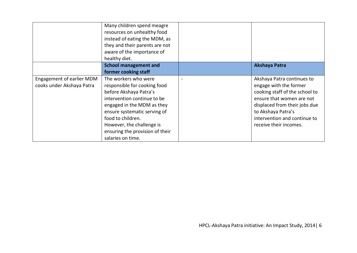|                                  | Many children spend meagre<br>resources on unhealthy food<br>instead of eating the MDM, as<br>they and their parents are not<br>aware of the importance of<br>healthy diet. |                                |
|----------------------------------|-----------------------------------------------------------------------------------------------------------------------------------------------------------------------------|--------------------------------|
|                                  | <b>School management and</b>                                                                                                                                                | <b>Akshaya Patra</b>           |
|                                  | former cooking staff                                                                                                                                                        |                                |
| <b>Engagement of earlier MDM</b> | The workers who were                                                                                                                                                        | Akshaya Patra continues to     |
| cooks under Akshaya Patra        | responsible for cooking food                                                                                                                                                | engage with the former         |
|                                  | before Akshaya Patra's                                                                                                                                                      | cooking staff of the school to |
|                                  | intervention continue to be                                                                                                                                                 | ensure that women are not      |
|                                  | engaged in the MDM as they                                                                                                                                                  | displaced from their jobs due  |
|                                  | ensure systematic serving of                                                                                                                                                | to Akshaya Patra's             |
|                                  | food to children.                                                                                                                                                           | intervention and continue to   |
|                                  | However, the challenge is                                                                                                                                                   | receive their incomes.         |
|                                  | ensuring the provision of their                                                                                                                                             |                                |
|                                  | salaries on time.                                                                                                                                                           |                                |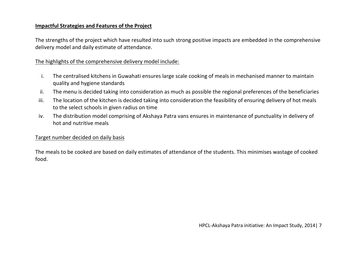#### **Impactful Strategies and Features of the Project**

The strengths of the project which have resulted into such strong positive impacts are embedded in the comprehensive delivery model and daily estimate of attendance.

### The highlights of the comprehensive delivery model include:

- i. The centralised kitchens in Guwahati ensures large scale cooking of meals in mechanised manner to maintain quality and hygiene standards
- ii. The menu is decided taking into consideration as much as possible the regional preferences of the beneficiaries
- iii. The location of the kitchen is decided taking into consideration the feasibility of ensuring delivery of hot meals to the select schools in given radius on time
- iv. The distribution model comprising of Akshaya Patra vans ensures in maintenance of punctuality in delivery of hot and nutritive meals

## Target number decided on daily basis

The meals to be cooked are based on daily estimates of attendance of the students. This minimises wastage of cooked food.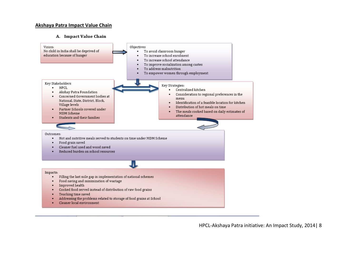#### **Akshaya Patra Impact Value Chain**

#### A. Impact Value Chain